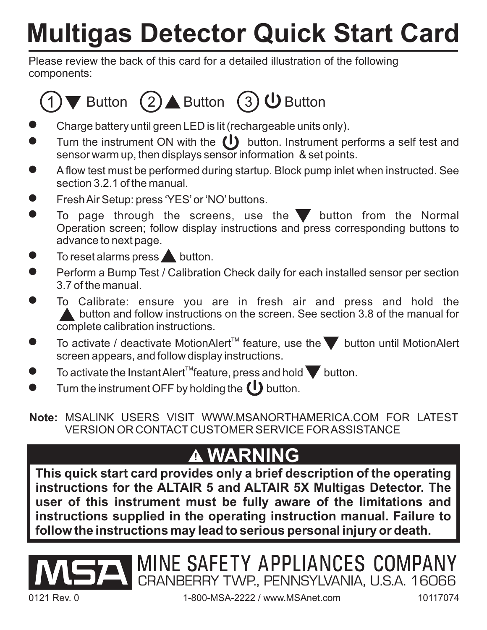## **Multigas Detector Quick Start Card**

Please review the back of this card for a detailed illustration of the following components:

## ▼ Button  $(2)$  Button  $(3)$  U Button

- $\bullet$ Charge battery until green LED is lit (rechargeable units only).
- $\bullet$ Turn the instrument ON with the  $\left(\mathsf{I}\right)$  button. Instrument performs a self test and sensor warm up, then displays sensor information & set points.
- -A flow test must be performed during startup. Block pump inlet when instructed. See section 3.2.1 of the manual.
- -FreshAir Setup: press 'YES'or 'NO'buttons.
- $\bullet$ To page through the screens, use the  $\blacktriangledown$  button from the Normal Operation screen; follow display instructions and press corresponding buttons to advance to next page.
- $\bullet$ To reset alarms press  $\blacktriangle$  button.
- $\bullet$ Perform a Bump Test / Calibration Check daily for each installed sensor per section 3.7 of the manual.
- $\bullet$ To Calibrate: ensure you are in fresh air and press and hold the **A** button and follow instructions on the screen. See section 3.8 of the manual for complete calibration instructions.
- $\bullet$ To activate / deactivate MotionAlert<sup>™</sup> feature, use the until MotionAlert screen appears, and follow display instructions.
- $\bullet$ To activate the Instant Alert<sup>™</sup>feature, press and hold  $\blacktriangledown$  button.
- $\bullet$ Turn the instrument OFF by holding the  $\bigcup$  button.

**Note:** MSALINK USERS VISIT WWW.MSANORTHAMERICA.COM FOR LATEST VERSION OR CONTACT CUSTOMER SERVICE FORASSISTANCE

## **WARNING**

**This quick start card provides only a brief description of the operating instructions for the ALTAIR 5 and ALTAIR 5X Multigas Detector. The user of this instrument must be fully aware of the limitations and instructions supplied in the operating instruction manual. Failure to follow the instructions may lead to serious personal injury or death.**



CRANBERRY TWP., PENNSYLVANIA, U.S.A. 16066

MINE SAFETY APPLIANCES COMPANY